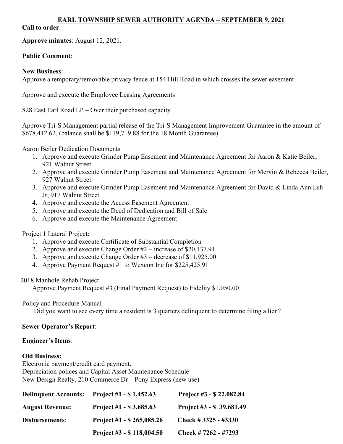#### EARL TOWNSHIP SEWER AUTHORITY AGENDA – SEPTEMBER 9, 2021

#### Call to order:

Approve minutes: August 12, 2021.

## Public Comment:

#### New Business:

Approve a temporary/removable privacy fence at 154 Hill Road in which crosses the sewer easement

Approve and execute the Employee Leasing Agreements

828 East Earl Road LP – Over their purchased capacity

Approve Tri-S Management partial release of the Tri-S Management Improvement Guarantee in the amount of \$678,412.62, (balance shall be \$119,719.88 for the 18 Month Guarantee)

#### Aaron Beiler Dedication Documents

- 1. Approve and execute Grinder Pump Easement and Maintenance Agreement for Aaron & Katie Beiler, 921 Walnut Street
- 2. Approve and execute Grinder Pump Easement and Maintenance Agreement for Mervin & Rebecca Beiler, 927 Walnut Street
- 3. Approve and execute Grinder Pump Easement and Maintenance Agreement for David & Linda Ann Esh Jr, 917 Walnut Street
- 4. Approve and execute the Access Easement Agreement
- 5. Approve and execute the Deed of Dedication and Bill of Sale
- 6. Approve and execute the Maintenance Agreement

## Project 1 Lateral Project:

- 1. Approve and execute Certificate of Substantial Completion
- 2. Approve and execute Change Order #2 increase of \$20,137.91
- 3. Approve and execute Change Order #3 decrease of \$11,925.00
- 4. Approve Payment Request #1 to Wexcon Inc for \$225,425.91

2018 Manhole Rehab Project

Approve Payment Request #3 (Final Payment Request) to Fidelity \$1,050.00

Policy and Procedure Manual -

Did you want to see every time a resident is 3 quarters delinquent to determine filing a lien?

## Sewer Operator's Report:

## Engineer's Items:

## Old Business:

Electronic payment/credit card payment. Depreciation polices and Capital Asset Maintenance Schedule New Design Realty, 210 Commerce Dr – Pony Express (new use)

| <b>Delinquent Accounts:</b> | Project #1 $-$ \$ 1,452.63   | Project #3 - $$22,082.84$ |
|-----------------------------|------------------------------|---------------------------|
| <b>August Revenue:</b>      | Project #1 - $$3,685.63$     | Project $#3 - $39,681.49$ |
| Disbursements:              | Project #1 $-$ \$ 265,085.26 | Check # $3325 - #3330$    |
|                             | Project #3 - $$118,004.50$   | Check # $7262 - 47293$    |